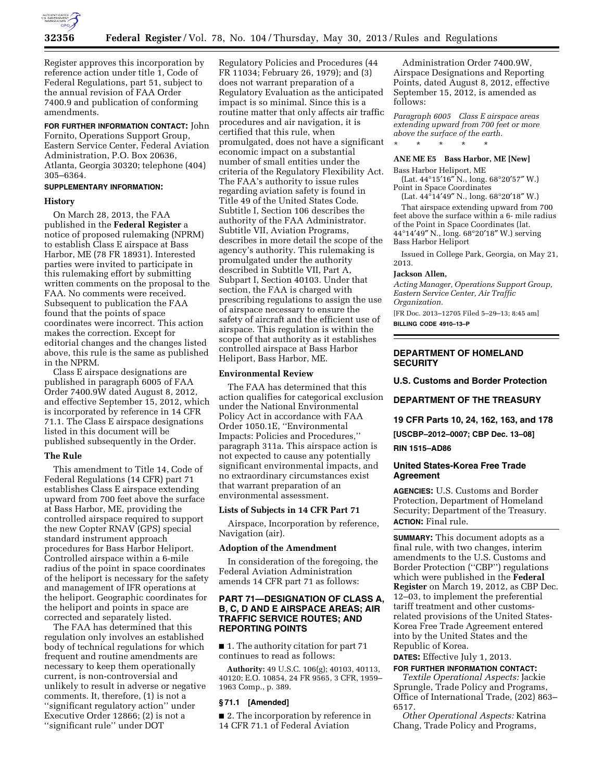

Register approves this incorporation by reference action under title 1, Code of Federal Regulations, part 51, subject to the annual revision of FAA Order 7400.9 and publication of conforming amendments.

**FOR FURTHER INFORMATION CONTACT:** John Fornito, Operations Support Group, Eastern Service Center, Federal Aviation Administration, P.O. Box 20636, Atlanta, Georgia 30320; telephone (404) 305–6364.

### **SUPPLEMENTARY INFORMATION:**

### **History**

On March 28, 2013, the FAA published in the **Federal Register** a notice of proposed rulemaking (NPRM) to establish Class E airspace at Bass Harbor, ME (78 FR 18931). Interested parties were invited to participate in this rulemaking effort by submitting written comments on the proposal to the FAA. No comments were received. Subsequent to publication the FAA found that the points of space coordinates were incorrect. This action makes the correction. Except for editorial changes and the changes listed above, this rule is the same as published in the NPRM.

Class E airspace designations are published in paragraph 6005 of FAA Order 7400.9W dated August 8, 2012, and effective September 15, 2012, which is incorporated by reference in 14 CFR 71.1. The Class E airspace designations listed in this document will be published subsequently in the Order.

### **The Rule**

This amendment to Title 14, Code of Federal Regulations (14 CFR) part 71 establishes Class E airspace extending upward from 700 feet above the surface at Bass Harbor, ME, providing the controlled airspace required to support the new Copter RNAV (GPS) special standard instrument approach procedures for Bass Harbor Heliport. Controlled airspace within a 6-mile radius of the point in space coordinates of the heliport is necessary for the safety and management of IFR operations at the heliport. Geographic coordinates for the heliport and points in space are corrected and separately listed.

The FAA has determined that this regulation only involves an established body of technical regulations for which frequent and routine amendments are necessary to keep them operationally current, is non-controversial and unlikely to result in adverse or negative comments. It, therefore, (1) is not a ''significant regulatory action'' under Executive Order 12866; (2) is not a ''significant rule'' under DOT

Regulatory Policies and Procedures (44 FR 11034; February 26, 1979); and (3) does not warrant preparation of a Regulatory Evaluation as the anticipated impact is so minimal. Since this is a routine matter that only affects air traffic procedures and air navigation, it is certified that this rule, when promulgated, does not have a significant economic impact on a substantial number of small entities under the criteria of the Regulatory Flexibility Act. The FAA's authority to issue rules regarding aviation safety is found in Title 49 of the United States Code. Subtitle I, Section 106 describes the authority of the FAA Administrator. Subtitle VII, Aviation Programs, describes in more detail the scope of the agency's authority. This rulemaking is promulgated under the authority described in Subtitle VII, Part A, Subpart I, Section 40103. Under that section, the FAA is charged with prescribing regulations to assign the use of airspace necessary to ensure the safety of aircraft and the efficient use of airspace. This regulation is within the scope of that authority as it establishes controlled airspace at Bass Harbor Heliport, Bass Harbor, ME.

### **Environmental Review**

The FAA has determined that this action qualifies for categorical exclusion under the National Environmental Policy Act in accordance with FAA Order 1050.1E, ''Environmental Impacts: Policies and Procedures,'' paragraph 311a. This airspace action is not expected to cause any potentially significant environmental impacts, and no extraordinary circumstances exist that warrant preparation of an environmental assessment.

# **Lists of Subjects in 14 CFR Part 71**

Airspace, Incorporation by reference, Navigation (air).

### **Adoption of the Amendment**

In consideration of the foregoing, the Federal Aviation Administration amends 14 CFR part 71 as follows:

# **PART 71—DESIGNATION OF CLASS A, B, C, D AND E AIRSPACE AREAS; AIR TRAFFIC SERVICE ROUTES; AND REPORTING POINTS**

■ 1. The authority citation for part 71 continues to read as follows:

**Authority:** 49 U.S.C. 106(g); 40103, 40113, 40120; E.O. 10854, 24 FR 9565, 3 CFR, 1959– 1963 Comp., p. 389.

# **§ 71.1 [Amended]**

■ 2. The incorporation by reference in 14 CFR 71.1 of Federal Aviation

Administration Order 7400.9W, Airspace Designations and Reporting Points, dated August 8, 2012, effective September 15, 2012, is amended as follows:

*Paragraph 6005 Class E airspace areas extending upward from 700 feet or more above the surface of the earth.* 

### **ANE ME E5 Bass Harbor, ME [New]**

Bass Harbor Heliport, ME

\* \* \* \* \*

(Lat. 44°15′16″ N., long. 68°20′57″ W.) Point in Space Coordinates

(Lat. 44°14′49″ N., long. 68°20′18″ W.)

That airspace extending upward from 700 feet above the surface within a 6- mile radius of the Point in Space Coordinates (lat. 44°14′49″ N., long. 68°20′18″ W.) serving Bass Harbor Heliport

Issued in College Park, Georgia, on May 21, 2013.

#### **Jackson Allen,**

*Acting Manager, Operations Support Group, Eastern Service Center, Air Traffic Organization.* 

[FR Doc. 2013–12705 Filed 5–29–13; 8:45 am] **BILLING CODE 4910–13–P** 

# **DEPARTMENT OF HOMELAND SECURITY**

**U.S. Customs and Border Protection** 

**DEPARTMENT OF THE TREASURY** 

**19 CFR Parts 10, 24, 162, 163, and 178** 

**[USCBP–2012–0007; CBP Dec. 13–08]** 

# **RIN 1515–AD86**

# **United States-Korea Free Trade Agreement**

**AGENCIES:** U.S. Customs and Border Protection, Department of Homeland Security; Department of the Treasury. **ACTION:** Final rule.

**SUMMARY:** This document adopts as a final rule, with two changes, interim amendments to the U.S. Customs and Border Protection (''CBP'') regulations which were published in the **Federal Register** on March 19, 2012, as CBP Dec. 12–03, to implement the preferential tariff treatment and other customsrelated provisions of the United States-Korea Free Trade Agreement entered into by the United States and the Republic of Korea.

**DATES:** Effective July 1, 2013. **FOR FURTHER INFORMATION CONTACT:** 

*Textile Operational Aspects:* Jackie Sprungle, Trade Policy and Programs, Office of International Trade, (202) 863– 6517.

*Other Operational Aspects:* Katrina Chang, Trade Policy and Programs,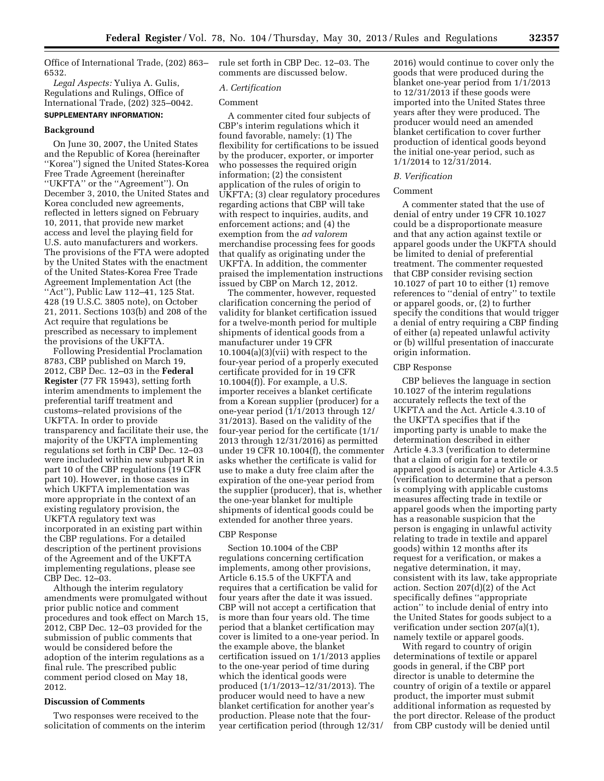Office of International Trade, (202) 863– 6532.

*Legal Aspects:* Yuliya A. Gulis, Regulations and Rulings, Office of International Trade, (202) 325–0042.

# **SUPPLEMENTARY INFORMATION:**

# **Background**

On June 30, 2007, the United States and the Republic of Korea (hereinafter ''Korea'') signed the United States-Korea Free Trade Agreement (hereinafter ''UKFTA'' or the ''Agreement''). On December 3, 2010, the United States and Korea concluded new agreements, reflected in letters signed on February 10, 2011, that provide new market access and level the playing field for U.S. auto manufacturers and workers. The provisions of the FTA were adopted by the United States with the enactment of the United States-Korea Free Trade Agreement Implementation Act (the ''Act''), Public Law 112–41, 125 Stat. 428 (19 U.S.C. 3805 note), on October 21, 2011. Sections 103(b) and 208 of the Act require that regulations be prescribed as necessary to implement the provisions of the UKFTA.

Following Presidential Proclamation 8783, CBP published on March 19, 2012, CBP Dec. 12–03 in the **Federal Register** (77 FR 15943), setting forth interim amendments to implement the preferential tariff treatment and customs–related provisions of the UKFTA. In order to provide transparency and facilitate their use, the majority of the UKFTA implementing regulations set forth in CBP Dec. 12–03 were included within new subpart R in part 10 of the CBP regulations (19 CFR part 10). However, in those cases in which UKFTA implementation was more appropriate in the context of an existing regulatory provision, the UKFTA regulatory text was incorporated in an existing part within the CBP regulations. For a detailed description of the pertinent provisions of the Agreement and of the UKFTA implementing regulations, please see CBP Dec. 12–03.

Although the interim regulatory amendments were promulgated without prior public notice and comment procedures and took effect on March 15, 2012, CBP Dec. 12–03 provided for the submission of public comments that would be considered before the adoption of the interim regulations as a final rule. The prescribed public comment period closed on May 18, 2012.

### **Discussion of Comments**

Two responses were received to the solicitation of comments on the interim rule set forth in CBP Dec. 12–03. The comments are discussed below.

# *A. Certification*

### Comment

A commenter cited four subjects of CBP's interim regulations which it found favorable, namely: (1) The flexibility for certifications to be issued by the producer, exporter, or importer who possesses the required origin information; (2) the consistent application of the rules of origin to UKFTA; (3) clear regulatory procedures regarding actions that CBP will take with respect to inquiries, audits, and enforcement actions; and (4) the exemption from the *ad valorem*  merchandise processing fees for goods that qualify as originating under the UKFTA. In addition, the commenter praised the implementation instructions issued by CBP on March 12, 2012.

The commenter, however, requested clarification concerning the period of validity for blanket certification issued for a twelve-month period for multiple shipments of identical goods from a manufacturer under 19 CFR  $10.1004(a)(3)(vii)$  with respect to the four-year period of a properly executed certificate provided for in 19 CFR 10.1004(f)). For example, a U.S. importer receives a blanket certificate from a Korean supplier (producer) for a one-year period (1/1/2013 through 12/ 31/2013). Based on the validity of the four-year period for the certificate (1/1/ 2013 through 12/31/2016) as permitted under 19 CFR 10.1004(f), the commenter asks whether the certificate is valid for use to make a duty free claim after the expiration of the one-year period from the supplier (producer), that is, whether the one-year blanket for multiple shipments of identical goods could be extended for another three years.

# CBP Response

Section 10.1004 of the CBP regulations concerning certification implements, among other provisions, Article 6.15.5 of the UKFTA and requires that a certification be valid for four years after the date it was issued. CBP will not accept a certification that is more than four years old. The time period that a blanket certification may cover is limited to a one-year period. In the example above, the blanket certification issued on 1/1/2013 applies to the one-year period of time during which the identical goods were produced (1/1/2013–12/31/2013). The producer would need to have a new blanket certification for another year's production. Please note that the fouryear certification period (through 12/31/

2016) would continue to cover only the goods that were produced during the blanket one-year period from 1/1/2013 to 12/31/2013 if these goods were imported into the United States three years after they were produced. The producer would need an amended blanket certification to cover further production of identical goods beyond the initial one-year period, such as 1/1/2014 to 12/31/2014.

### *B. Verification*

### Comment

A commenter stated that the use of denial of entry under 19 CFR 10.1027 could be a disproportionate measure and that any action against textile or apparel goods under the UKFTA should be limited to denial of preferential treatment. The commenter requested that CBP consider revising section 10.1027 of part 10 to either (1) remove references to ''denial of entry'' to textile or apparel goods, or, (2) to further specify the conditions that would trigger a denial of entry requiring a CBP finding of either (a) repeated unlawful activity or (b) willful presentation of inaccurate origin information.

# CBP Response

CBP believes the language in section 10.1027 of the interim regulations accurately reflects the text of the UKFTA and the Act. Article 4.3.10 of the UKFTA specifies that if the importing party is unable to make the determination described in either Article 4.3.3 (verification to determine that a claim of origin for a textile or apparel good is accurate) or Article 4.3.5 (verification to determine that a person is complying with applicable customs measures affecting trade in textile or apparel goods when the importing party has a reasonable suspicion that the person is engaging in unlawful activity relating to trade in textile and apparel goods) within 12 months after its request for a verification, or makes a negative determination, it may, consistent with its law, take appropriate action. Section 207(d)(2) of the Act specifically defines ''appropriate action'' to include denial of entry into the United States for goods subject to a verification under section 207(a)(1), namely textile or apparel goods.

With regard to country of origin determinations of textile or apparel goods in general, if the CBP port director is unable to determine the country of origin of a textile or apparel product, the importer must submit additional information as requested by the port director. Release of the product from CBP custody will be denied until